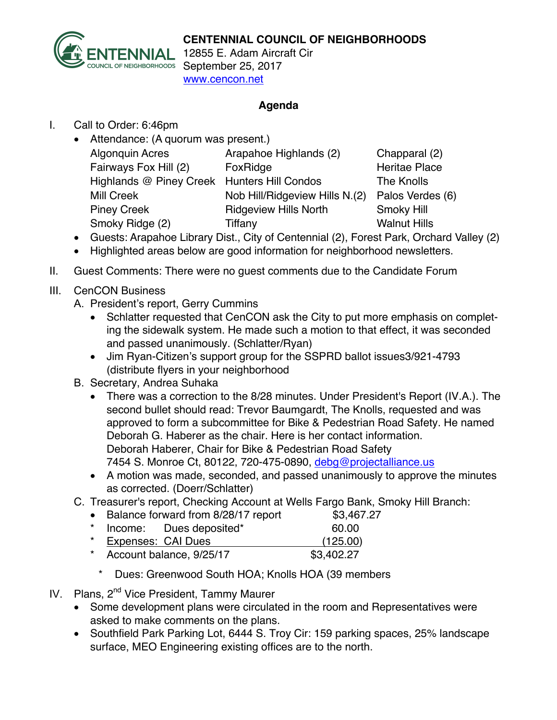

ENNIAL 12855 E. Adam Aircraft Cir SOUNCIL OF NEIGHBORHOODS September 25, 2017 www.cencon.net

## **Agenda**

I. Call to Order: 6:46pm

| • Attendance: (A quorum was present.) |  |  |
|---------------------------------------|--|--|
|                                       |  |  |
|                                       |  |  |
|                                       |  |  |
|                                       |  |  |
|                                       |  |  |
|                                       |  |  |
|                                       |  |  |

- Guests: Arapahoe Library Dist., City of Centennial (2), Forest Park, Orchard Valley (2)
- Highlighted areas below are good information for neighborhood newsletters.
- II. Guest Comments: There were no guest comments due to the Candidate Forum

## III. CenCON Business

- A. President's report, Gerry Cummins
	- Schlatter requested that CenCON ask the City to put more emphasis on completing the sidewalk system. He made such a motion to that effect, it was seconded and passed unanimously. (Schlatter/Ryan)
	- Jim Ryan-Citizen's support group for the SSPRD ballot issues3/921-4793 (distribute flyers in your neighborhood
- B. Secretary, Andrea Suhaka
	- There was a correction to the 8/28 minutes. Under President's Report (IV.A.). The second bullet should read: Trevor Baumgardt, The Knolls, requested and was approved to form a subcommittee for Bike & Pedestrian Road Safety. He named Deborah G. Haberer as the chair. Here is her contact information. Deborah Haberer, Chair for Bike & Pedestrian Road Safety 7454 S. Monroe Ct, 80122, 720-475-0890, debg@projectalliance.us
	- A motion was made, seconded, and passed unanimously to approve the minutes as corrected. (Doerr/Schlatter)
- C. Treasurer's report, Checking Account at Wells Fargo Bank, Smoky Hill Branch:
	- Balance forward from 8/28/17 report \$3,467.27
	- Income: Dues deposited\* 60.00 Expenses: CAI Dues (125.00)
	- \* Account balance, 9/25/17 \$3,402.27
		- \* Dues: Greenwood South HOA; Knolls HOA (39 members
- IV. Plans, 2<sup>nd</sup> Vice President, Tammy Maurer
	- Some development plans were circulated in the room and Representatives were asked to make comments on the plans.
	- Southfield Park Parking Lot, 6444 S. Troy Cir: 159 parking spaces, 25% landscape surface, MEO Engineering existing offices are to the north.